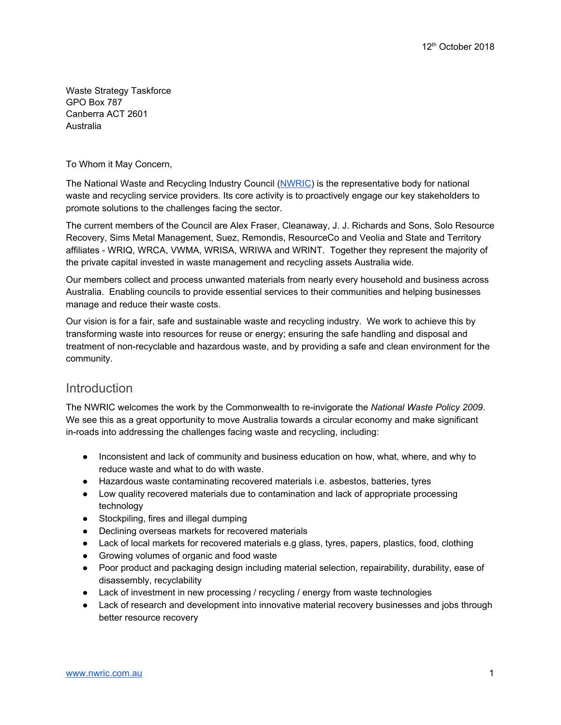Waste Strategy Taskforce GPO Box 787 Canberra ACT 2601 Australia

To Whom it May Concern,

The National Waste and Recycling Industry Council ([NWRIC\)](http://www.nwric.com.au/) is the representative body for national waste and recycling service providers. Its core activity is to proactively engage our key stakeholders to promote solutions to the challenges facing the sector.

The current members of the Council are Alex Fraser, Cleanaway, J. J. Richards and Sons, Solo Resource Recovery, Sims Metal Management, Suez, Remondis, ResourceCo and Veolia and State and Territory affiliates - WRIQ, WRCA, VWMA, WRISA, WRIWA and WRINT. Together they represent the majority of the private capital invested in waste management and recycling assets Australia wide.

Our members collect and process unwanted materials from nearly every household and business across Australia. Enabling councils to provide essential services to their communities and helping businesses manage and reduce their waste costs.

Our vision is for a fair, safe and sustainable waste and recycling industry. We work to achieve this by transforming waste into resources for reuse or energy; ensuring the safe handling and disposal and treatment of non-recyclable and hazardous waste, and by providing a safe and clean environment for the community.

## **Introduction**

The NWRIC welcomes the work by the Commonwealth to re-invigorate the *National Waste Policy 2009*. We see this as a great opportunity to move Australia towards a circular economy and make significant in-roads into addressing the challenges facing waste and recycling, including:

- Inconsistent and lack of community and business education on how, what, where, and why to reduce waste and what to do with waste.
- Hazardous waste contaminating recovered materials i.e. asbestos, batteries, tyres
- Low quality recovered materials due to contamination and lack of appropriate processing technology
- Stockpiling, fires and illegal dumping
- Declining overseas markets for recovered materials
- Lack of local markets for recovered materials e.g glass, tyres, papers, plastics, food, clothing
- Growing volumes of organic and food waste
- Poor product and packaging design including material selection, repairability, durability, ease of disassembly, recyclability
- Lack of investment in new processing / recycling / energy from waste technologies
- Lack of research and development into innovative material recovery businesses and jobs through better resource recovery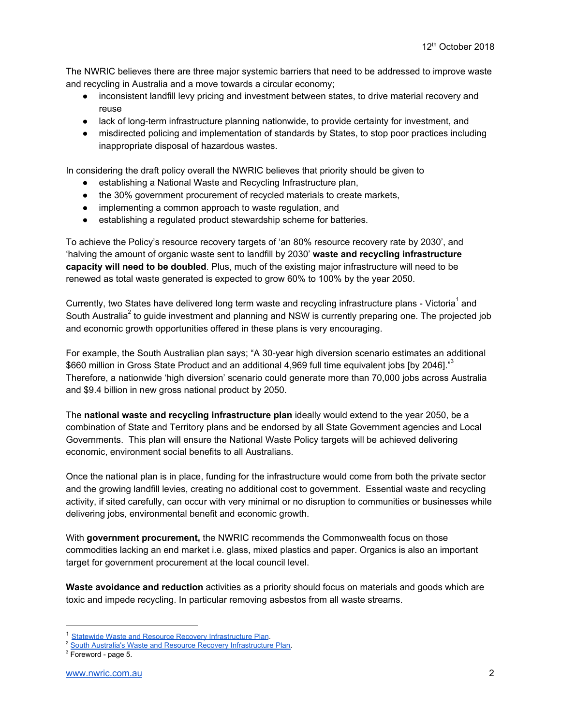The NWRIC believes there are three major systemic barriers that need to be addressed to improve waste and recycling in Australia and a move towards a circular economy;

- inconsistent landfill levy pricing and investment between states, to drive material recovery and reuse
- lack of long-term infrastructure planning nationwide, to provide certainty for investment, and
- misdirected policing and implementation of standards by States, to stop poor practices including inappropriate disposal of hazardous wastes.

In considering the draft policy overall the NWRIC believes that priority should be given to

- establishing a National Waste and Recycling Infrastructure plan,
- the 30% government procurement of recycled materials to create markets,
- implementing a common approach to waste regulation, and
- establishing a regulated product stewardship scheme for batteries.

To achieve the Policy's resource recovery targets of 'an 80% resource recovery rate by 2030', and 'halving the amount of organic waste sent to landfill by 2030' **waste and recycling infrastructure capacity will need to be doubled**. Plus, much of the existing major infrastructure will need to be renewed as total waste generated is expected to grow 60% to 100% by the year 2050.

Currently, two States have delivered long term waste and recycling infrastructure plans - Victoria<sup>1</sup> and South Australia<sup>2</sup> to guide investment and planning and NSW is currently preparing one. The projected job and economic growth opportunities offered in these plans is very encouraging.

For example, the South Australian plan says; "A 30-year high diversion scenario estimates an additional \$660 million in Gross State Product and an additional 4,969 full time equivalent jobs [by 2046]."<sup>3</sup> Therefore, a nationwide 'high diversion' scenario could generate more than 70,000 jobs across Australia and \$9.4 billion in new gross national product by 2050.

The **national waste and recycling infrastructure plan** ideally would extend to the year 2050, be a combination of State and Territory plans and be endorsed by all State Government agencies and Local Governments. This plan will ensure the National Waste Policy targets will be achieved delivering economic, environment social benefits to all Australians.

Once the national plan is in place, funding for the infrastructure would come from both the private sector and the growing landfill levies, creating no additional cost to government. Essential waste and recycling activity, if sited carefully, can occur with very minimal or no disruption to communities or businesses while delivering jobs, environmental benefit and economic growth.

With **government procurement,** the NWRIC recommends the Commonwealth focus on those commodities lacking an end market i.e. glass, mixed plastics and paper. Organics is also an important target for government procurement at the local council level.

**Waste avoidance and reduction** activities as a priority should focus on materials and goods which are toxic and impede recycling. In particular removing asbestos from all waste streams.

<sup>&</sup>lt;sup>1</sup> Statewide Waste and Resource Recovery [Infrastructure](https://www.sustainability.vic.gov.au/About-Us/What-we-do/Strategy-and-planning/Statewide-Waste-and-Resource-Recovery-Infrastructure-Plan) Plan.

<sup>2</sup> South Australia's Waste and Resource Recovery [Infrastructure](https://www.greenindustries.sa.gov.au/sa-waste-resource-recovery-infrastructure-plan) Plan.

<sup>3</sup> Foreword - page 5.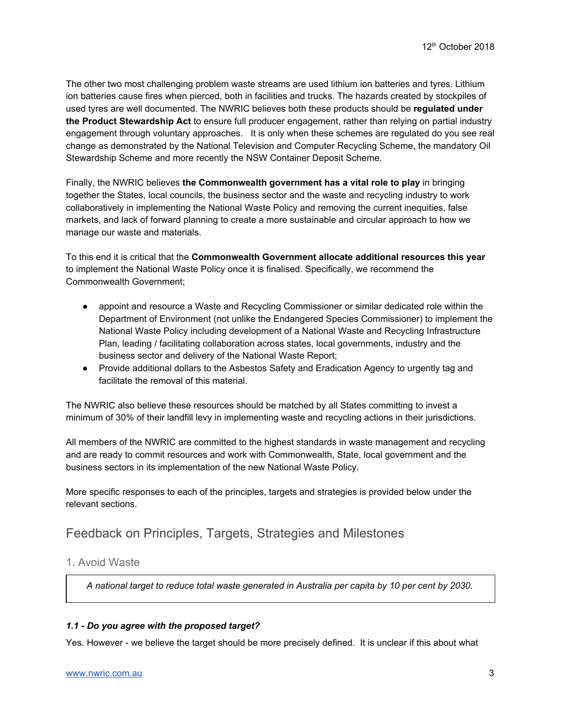The other two most challenging problem waste streams are used lithium ion batteries and tyres. Lithium ion batteries cause fires when pierced, both in facilities and trucks. The hazards created by stockpiles of used tyres are well documented. The NWRIC believes both these products should be **regulated under the Product Stewardship Act** to ensure full producer engagement, rather than relying on partial industry engagement through voluntary approaches. It is only when these schemes are regulated do you see real change as demonstrated by the National Television and Computer Recycling Scheme, the mandatory Oil Stewardship Scheme and more recently the NSW Container Deposit Scheme.

Finally, the NWRIC believes **the Commonwealth government has a vital role to play** in bringing together the States, local councils, the business sector and the waste and recycling industry to work collaboratively in implementing the National Waste Policy and removing the current inequities, false markets, and lack of forward planning to create a more sustainable and circular approach to how we manage our waste and materials.

To this end it is critical that the **Commonwealth Government allocate additional resources this year** to implement the National Waste Policy once it is finalised. Specifically, we recommend the Commonwealth Government;

- appoint and resource a Waste and Recycling Commissioner or similar dedicated role within the Department of Environment (not unlike the Endangered Species Commissioner) to implement the National Waste Policy including development of a National Waste and Recycling Infrastructure Plan, leading / facilitating collaboration across states, local governments, industry and the business sector and delivery of the National Waste Report;
- Provide additional dollars to the Asbestos Safety and Eradication Agency to urgently tag and facilitate the removal of this material.

The NWRIC also believe these resources should be matched by all States committing to invest a minimum of 30% of their landfill levy in implementing waste and recycling actions in their jurisdictions.

All members of the NWRIC are committed to the highest standards in waste management and recycling and are ready to commit resources and work with Commonwealth, State, local government and the business sectors in its implementation of the new National Waste Policy.

More specific responses to each of the principles, targets and strategies is provided below under the relevant sections.

# Feedback on Principles, Targets, Strategies and Milestones

## 1. Avoid Waste

*A national target to reduce total waste generated in Australia per capita by 10 per cent by 2030.*

## *1.1 - Do you agree with the proposed target?*

Yes. However - we believe the target should be more precisely defined. It is unclear if this about what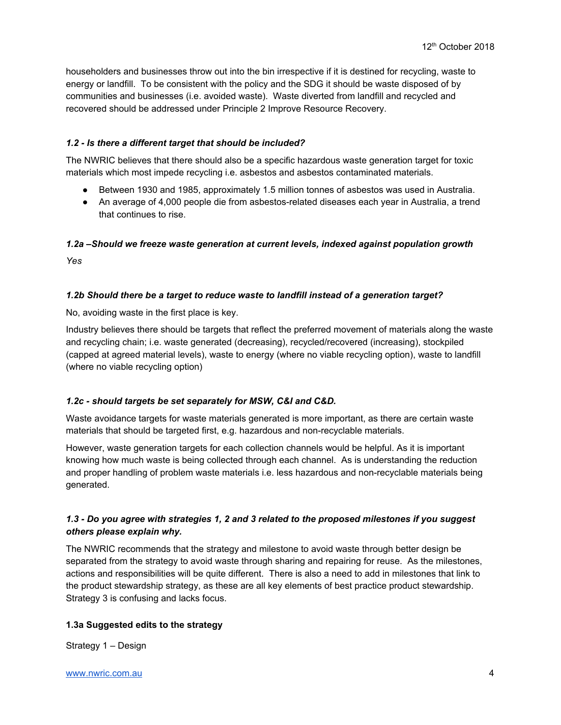householders and businesses throw out into the bin irrespective if it is destined for recycling, waste to energy or landfill. To be consistent with the policy and the SDG it should be waste disposed of by communities and businesses (i.e. avoided waste). Waste diverted from landfill and recycled and recovered should be addressed under Principle 2 Improve Resource Recovery.

## *1.2 - Is there a different target that should be included?*

The NWRIC believes that there should also be a specific hazardous waste generation target for toxic materials which most impede recycling i.e. asbestos and asbestos contaminated materials.

- Between 1930 and 1985, approximately 1.5 million tonnes of asbestos was used in Australia.
- An average of 4,000 people die from asbestos-related diseases each year in Australia, a trend that continues to rise.

## *1.2a –Should we freeze waste generation at current levels, indexed against population growth*

*Yes*

## *1.2b Should there be a target to reduce waste to landfill instead of a generation target?*

No, avoiding waste in the first place is key.

Industry believes there should be targets that reflect the preferred movement of materials along the waste and recycling chain; i.e. waste generated (decreasing), recycled/recovered (increasing), stockpiled (capped at agreed material levels), waste to energy (where no viable recycling option), waste to landfill (where no viable recycling option)

## *1.2c - should targets be set separately for MSW, C&I and C&D.*

Waste avoidance targets for waste materials generated is more important, as there are certain waste materials that should be targeted first, e.g. hazardous and non-recyclable materials.

However, waste generation targets for each collection channels would be helpful. As it is important knowing how much waste is being collected through each channel. As is understanding the reduction and proper handling of problem waste materials i.e. less hazardous and non-recyclable materials being generated.

## 1.3 - Do you agree with strategies 1, 2 and 3 related to the proposed milestones if you suggest *others please explain why.*

The NWRIC recommends that the strategy and milestone to avoid waste through better design be separated from the strategy to avoid waste through sharing and repairing for reuse. As the milestones, actions and responsibilities will be quite different. There is also a need to add in milestones that link to the product stewardship strategy, as these are all key elements of best practice product stewardship. Strategy 3 is confusing and lacks focus.

## **1.3a Suggested edits to the strategy**

Strategy 1 – Design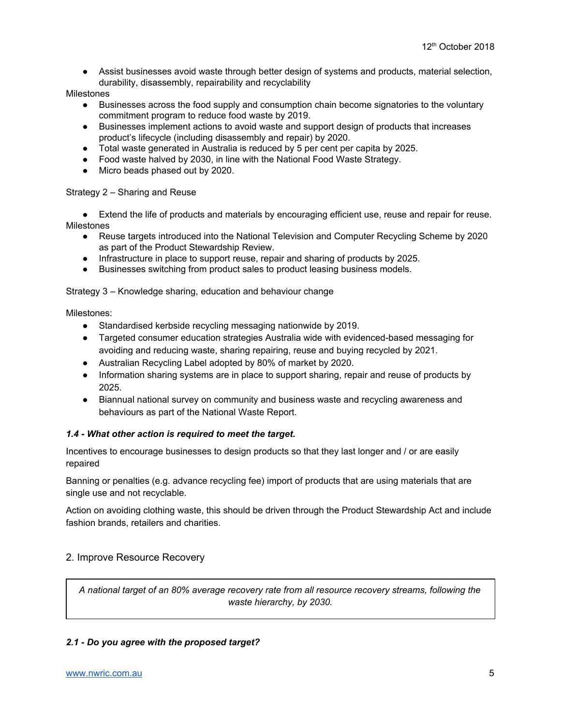● Assist businesses avoid waste through better design of systems and products, material selection, durability, disassembly, repairability and recyclability

Milestones

- Businesses across the food supply and consumption chain become signatories to the voluntary commitment program to reduce food waste by 2019.
- Businesses implement actions to avoid waste and support design of products that increases product's lifecycle (including disassembly and repair) by 2020.
- Total waste generated in Australia is reduced by 5 per cent per capita by 2025.
- Food waste halved by 2030, in line with the National Food Waste Strategy.
- Micro beads phased out by 2020.

#### Strategy 2 – Sharing and Reuse

● Extend the life of products and materials by encouraging efficient use, reuse and repair for reuse. Milestones

- Reuse targets introduced into the National Television and Computer Recycling Scheme by 2020 as part of the Product Stewardship Review.
- Infrastructure in place to support reuse, repair and sharing of products by 2025.
- Businesses switching from product sales to product leasing business models.

Strategy 3 – Knowledge sharing, education and behaviour change

Milestones:

- Standardised kerbside recycling messaging nationwide by 2019.
- Targeted consumer education strategies Australia wide with evidenced-based messaging for avoiding and reducing waste, sharing repairing, reuse and buying recycled by 2021.
- Australian Recycling Label adopted by 80% of market by 2020.
- Information sharing systems are in place to support sharing, repair and reuse of products by 2025.
- Biannual national survey on community and business waste and recycling awareness and behaviours as part of the National Waste Report.

#### *1.4 - What other action is required to meet the target.*

Incentives to encourage businesses to design products so that they last longer and / or are easily repaired

Banning or penalties (e.g. advance recycling fee) import of products that are using materials that are single use and not recyclable.

Action on avoiding clothing waste, this should be driven through the Product Stewardship Act and include fashion brands, retailers and charities.

#### 2. Improve Resource Recovery

*A national target of an 80% average recovery rate from all resource recovery streams, following the waste hierarchy, by 2030.*

#### *2.1 - Do you agree with the proposed target?*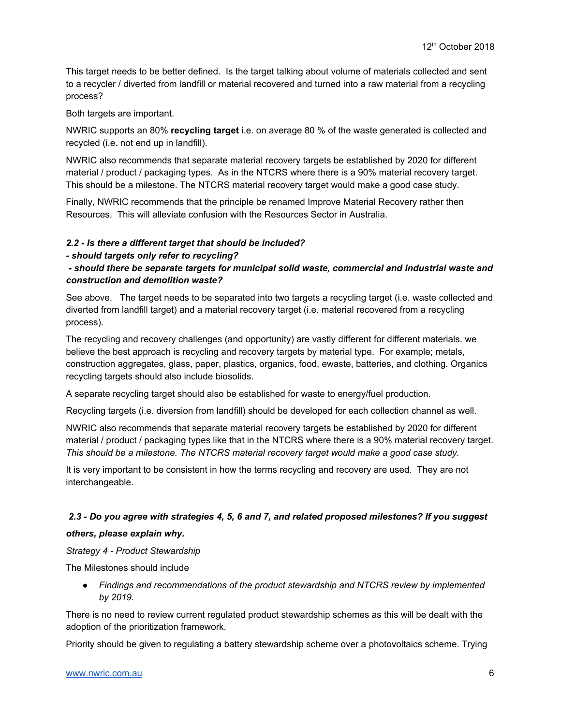This target needs to be better defined. Is the target talking about volume of materials collected and sent to a recycler / diverted from landfill or material recovered and turned into a raw material from a recycling process?

Both targets are important.

NWRIC supports an 80% **recycling target** i.e. on average 80 % of the waste generated is collected and recycled (i.e. not end up in landfill).

NWRIC also recommends that separate material recovery targets be established by 2020 for different material / product / packaging types. As in the NTCRS where there is a 90% material recovery target. This should be a milestone. The NTCRS material recovery target would make a good case study.

Finally, NWRIC recommends that the principle be renamed Improve Material Recovery rather then Resources. This will alleviate confusion with the Resources Sector in Australia.

## *2.2 - Is there a different target that should be included?*

*- should targets only refer to recycling?*

*- should there be separate targets for municipal solid waste, commercial and industrial waste and construction and demolition waste?*

See above. The target needs to be separated into two targets a recycling target (i.e. waste collected and diverted from landfill target) and a material recovery target (i.e. material recovered from a recycling process).

The recycling and recovery challenges (and opportunity) are vastly different for different materials. we believe the best approach is recycling and recovery targets by material type. For example; metals, construction aggregates, glass, paper, plastics, organics, food, ewaste, batteries, and clothing. Organics recycling targets should also include biosolids.

A separate recycling target should also be established for waste to energy/fuel production.

Recycling targets (i.e. diversion from landfill) should be developed for each collection channel as well.

NWRIC also recommends that separate material recovery targets be established by 2020 for different material / product / packaging types like that in the NTCRS where there is a 90% material recovery target. *This should be a milestone. The NTCRS material recovery target would make a good case study.*

It is very important to be consistent in how the terms recycling and recovery are used. They are not interchangeable.

#### 2.3 - Do you agree with strategies 4, 5, 6 and 7, and related proposed milestones? If you suggest

#### *others, please explain why.*

*Strategy 4 - Product Stewardship*

The Milestones should include

*● Findings and recommendations of the product stewardship and NTCRS review by implemented by 2019.*

There is no need to review current regulated product stewardship schemes as this will be dealt with the adoption of the prioritization framework.

Priority should be given to regulating a battery stewardship scheme over a photovoltaics scheme. Trying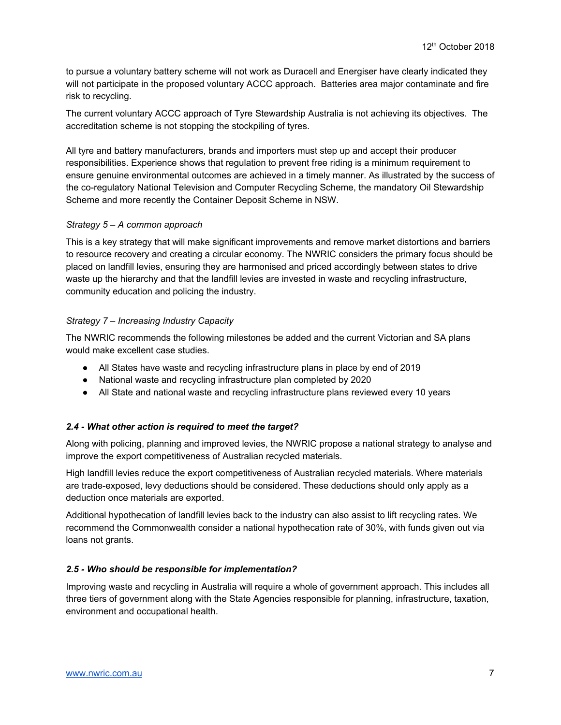to pursue a voluntary battery scheme will not work as Duracell and Energiser have clearly indicated they will not participate in the proposed voluntary ACCC approach. Batteries area major contaminate and fire risk to recycling.

The current voluntary ACCC approach of Tyre Stewardship Australia is not achieving its objectives. The accreditation scheme is not stopping the stockpiling of tyres.

All tyre and battery manufacturers, brands and importers must step up and accept their producer responsibilities. Experience shows that regulation to prevent free riding is a minimum requirement to ensure genuine environmental outcomes are achieved in a timely manner. As illustrated by the success of the co-regulatory National Television and Computer Recycling Scheme, the mandatory Oil Stewardship Scheme and more recently the Container Deposit Scheme in NSW.

#### *Strategy 5 – A common approach*

This is a key strategy that will make significant improvements and remove market distortions and barriers to resource recovery and creating a circular economy. The NWRIC considers the primary focus should be placed on landfill levies, ensuring they are harmonised and priced accordingly between states to drive waste up the hierarchy and that the landfill levies are invested in waste and recycling infrastructure, community education and policing the industry.

#### *Strategy 7 – Increasing Industry Capacity*

The NWRIC recommends the following milestones be added and the current Victorian and SA plans would make excellent case studies.

- All States have waste and recycling infrastructure plans in place by end of 2019
- National waste and recycling infrastructure plan completed by 2020
- All State and national waste and recycling infrastructure plans reviewed every 10 years

## *2.4 - What other action is required to meet the target?*

Along with policing, planning and improved levies, the NWRIC propose a national strategy to analyse and improve the export competitiveness of Australian recycled materials.

High landfill levies reduce the export competitiveness of Australian recycled materials. Where materials are trade-exposed, levy deductions should be considered. These deductions should only apply as a deduction once materials are exported.

Additional hypothecation of landfill levies back to the industry can also assist to lift recycling rates. We recommend the Commonwealth consider a national hypothecation rate of 30%, with funds given out via loans not grants.

## *2.5 - Who should be responsible for implementation?*

Improving waste and recycling in Australia will require a whole of government approach. This includes all three tiers of government along with the State Agencies responsible for planning, infrastructure, taxation, environment and occupational health.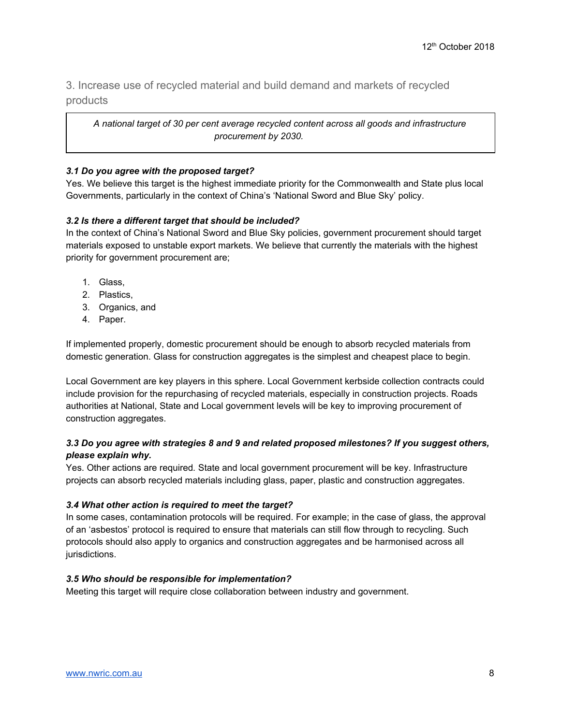## 3. Increase use of recycled material and build demand and markets of recycled products

*A national target of 30 per cent average recycled content across all goods and infrastructure procurement by 2030.*

## *3.1 Do you agree with the proposed target?*

Yes. We believe this target is the highest immediate priority for the Commonwealth and State plus local Governments, particularly in the context of China's 'National Sword and Blue Sky' policy.

## *3.2 Is there a different target that should be included?*

In the context of China's National Sword and Blue Sky policies, government procurement should target materials exposed to unstable export markets. We believe that currently the materials with the highest priority for government procurement are;

- 1. Glass,
- 2. Plastics,
- 3. Organics, and
- 4. Paper.

If implemented properly, domestic procurement should be enough to absorb recycled materials from domestic generation. Glass for construction aggregates is the simplest and cheapest place to begin.

Local Government are key players in this sphere. Local Government kerbside collection contracts could include provision for the repurchasing of recycled materials, especially in construction projects. Roads authorities at National, State and Local government levels will be key to improving procurement of construction aggregates.

## *3.3 Do you agree with strategies 8 and 9 and related proposed milestones? If you suggest others, please explain why.*

Yes. Other actions are required*.* State and local government procurement will be key. Infrastructure projects can absorb recycled materials including glass, paper, plastic and construction aggregates.

## *3.4 What other action is required to meet the target?*

In some cases, contamination protocols will be required. For example; in the case of glass, the approval of an 'asbestos' protocol is required to ensure that materials can still flow through to recycling. Such protocols should also apply to organics and construction aggregates and be harmonised across all jurisdictions.

## *3.5 Who should be responsible for implementation?*

Meeting this target will require close collaboration between industry and government.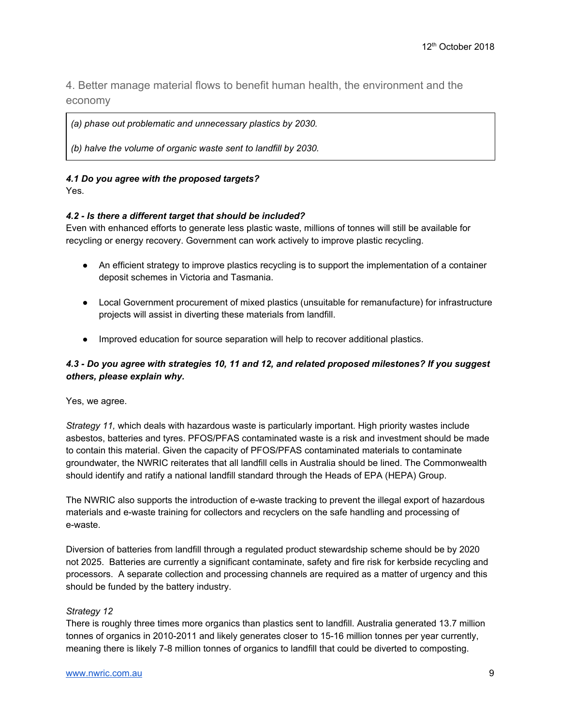4. Better manage material flows to benefit human health, the environment and the economy

*(a) phase out problematic and unnecessary plastics by 2030.*

*(b) halve the volume of organic waste sent to landfill by 2030.*

#### *4.1 Do you agree with the proposed targets?*

Yes.

#### *4.2 - Is there a different target that should be included?*

Even with enhanced efforts to generate less plastic waste, millions of tonnes will still be available for recycling or energy recovery. Government can work actively to improve plastic recycling.

- An efficient strategy to improve plastics recycling is to support the implementation of a container deposit schemes in Victoria and Tasmania.
- Local Government procurement of mixed plastics (unsuitable for remanufacture) for infrastructure projects will assist in diverting these materials from landfill.
- Improved education for source separation will help to recover additional plastics.

## *4.3 - Do you agree with strategies 10, 11 and 12, and related proposed milestones? If you suggest others, please explain why.*

Yes, we agree.

*Strategy 11,* which deals with hazardous waste is particularly important. High priority wastes include asbestos, batteries and tyres. PFOS/PFAS contaminated waste is a risk and investment should be made to contain this material. Given the capacity of PFOS/PFAS contaminated materials to contaminate groundwater, the NWRIC reiterates that all landfill cells in Australia should be lined. The Commonwealth should identify and ratify a national landfill standard through the Heads of EPA (HEPA) Group.

The NWRIC also supports the introduction of e-waste tracking to prevent the illegal export of hazardous materials and e-waste training for collectors and recyclers on the safe handling and processing of e-waste.

Diversion of batteries from landfill through a regulated product stewardship scheme should be by 2020 not 2025. Batteries are currently a significant contaminate, safety and fire risk for kerbside recycling and processors. A separate collection and processing channels are required as a matter of urgency and this should be funded by the battery industry.

#### *Strategy 12*

There is roughly three times more organics than plastics sent to landfill. Australia generated 13.7 million tonnes of organics in 2010-2011 and likely generates closer to 15-16 million tonnes per year currently, meaning there is likely 7-8 million tonnes of organics to landfill that could be diverted to composting.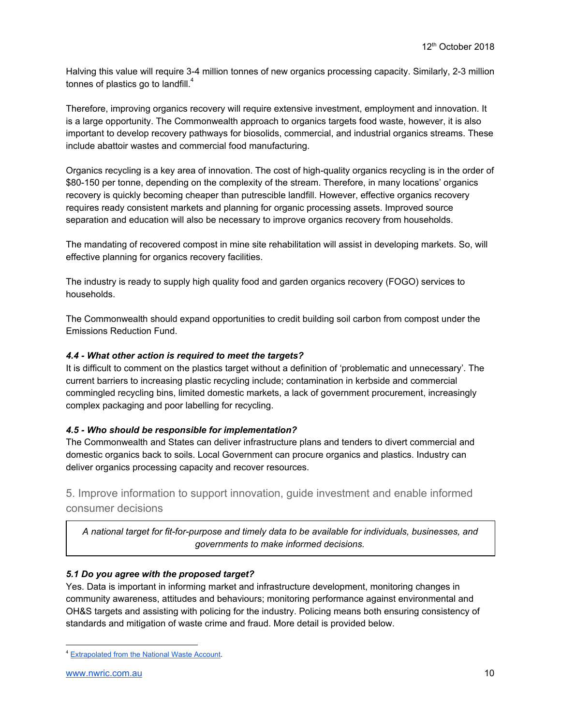Halving this value will require 3-4 million tonnes of new organics processing capacity. Similarly, 2-3 million tonnes of plastics go to landfill. $^4$ 

Therefore, improving organics recovery will require extensive investment, employment and innovation. It is a large opportunity. The Commonwealth approach to organics targets food waste, however, it is also important to develop recovery pathways for biosolids, commercial, and industrial organics streams. These include abattoir wastes and commercial food manufacturing.

Organics recycling is a key area of innovation. The cost of high-quality organics recycling is in the order of \$80-150 per tonne, depending on the complexity of the stream. Therefore, in many locations' organics recovery is quickly becoming cheaper than putrescible landfill. However, effective organics recovery requires ready consistent markets and planning for organic processing assets. Improved source separation and education will also be necessary to improve organics recovery from households.

The mandating of recovered compost in mine site rehabilitation will assist in developing markets. So, will effective planning for organics recovery facilities.

The industry is ready to supply high quality food and garden organics recovery (FOGO) services to households.

The Commonwealth should expand opportunities to credit building soil carbon from compost under the Emissions Reduction Fund.

## *4.4 - What other action is required to meet the targets?*

It is difficult to comment on the plastics target without a definition of 'problematic and unnecessary'. The current barriers to increasing plastic recycling include; contamination in kerbside and commercial commingled recycling bins, limited domestic markets, a lack of government procurement, increasingly complex packaging and poor labelling for recycling.

## *4.5 - Who should be responsible for implementation?*

The Commonwealth and States can deliver infrastructure plans and tenders to divert commercial and domestic organics back to soils. Local Government can procure organics and plastics. Industry can deliver organics processing capacity and recover resources.

5. Improve information to support innovation, guide investment and enable informed consumer decisions

*A national target for fit-for-purpose and timely data to be available for individuals, businesses, and governments to make informed decisions.*

## *5.1 Do you agree with the proposed target?*

Yes. Data is important in informing market and infrastructure development, monitoring changes in community awareness, attitudes and behaviours; monitoring performance against environmental and OH&S targets and assisting with policing for the industry. Policing means both ensuring consistency of standards and mitigation of waste crime and fraud. More detail is provided below.

<sup>4</sup> [Extrapolated](http://www.abs.gov.au/ausstats/abs@.nsf/Latestproducts/4602.0.55.006Main%20Features32010-11?opendocument&tabname=Summary&prodno=4602.0.55.006&issue=2010-11&num=&view=) from the National Waste Account.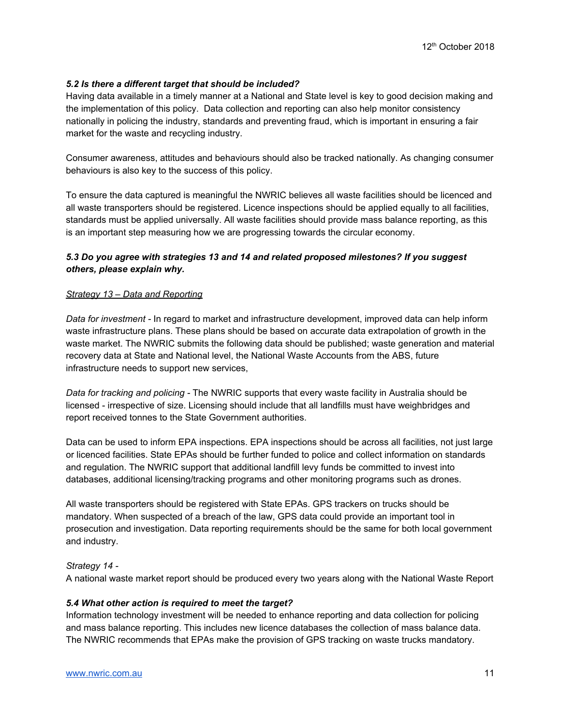## *5.2 Is there a different target that should be included?*

Having data available in a timely manner at a National and State level is key to good decision making and the implementation of this policy. Data collection and reporting can also help monitor consistency nationally in policing the industry, standards and preventing fraud, which is important in ensuring a fair market for the waste and recycling industry.

Consumer awareness, attitudes and behaviours should also be tracked nationally. As changing consumer behaviours is also key to the success of this policy.

To ensure the data captured is meaningful the NWRIC believes all waste facilities should be licenced and all waste transporters should be registered. Licence inspections should be applied equally to all facilities, standards must be applied universally. All waste facilities should provide mass balance reporting, as this is an important step measuring how we are progressing towards the circular economy.

## *5.3 Do you agree with strategies 13 and 14 and related proposed milestones? If you suggest others, please explain why.*

#### *Strategy 13 – Data and Reporting*

*Data for investment -* In regard to market and infrastructure development, improved data can help inform waste infrastructure plans. These plans should be based on accurate data extrapolation of growth in the waste market. The NWRIC submits the following data should be published; waste generation and material recovery data at State and National level, the National Waste Accounts from the ABS, future infrastructure needs to support new services,

*Data for tracking and policing -* The NWRIC supports that every waste facility in Australia should be licensed - irrespective of size. Licensing should include that all landfills must have weighbridges and report received tonnes to the State Government authorities.

Data can be used to inform EPA inspections. EPA inspections should be across all facilities, not just large or licenced facilities. State EPAs should be further funded to police and collect information on standards and regulation. The NWRIC support that additional landfill levy funds be committed to invest into databases, additional licensing/tracking programs and other monitoring programs such as drones.

All waste transporters should be registered with State EPAs. GPS trackers on trucks should be mandatory. When suspected of a breach of the law, GPS data could provide an important tool in prosecution and investigation. Data reporting requirements should be the same for both local government and industry.

#### *Strategy 14 -*

A national waste market report should be produced every two years along with the National Waste Report

#### *5.4 What other action is required to meet the target?*

Information technology investment will be needed to enhance reporting and data collection for policing and mass balance reporting. This includes new licence databases the collection of mass balance data. The NWRIC recommends that EPAs make the provision of GPS tracking on waste trucks mandatory.